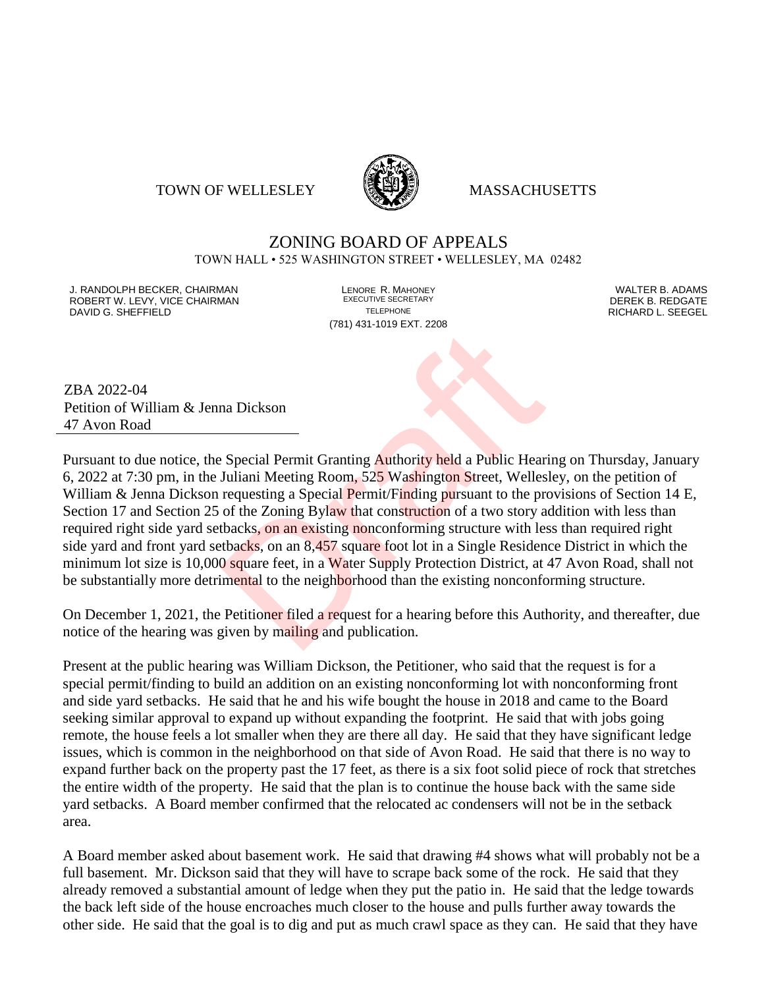### TOWN OF WELLESLEY **WELLESLEY** MASSACHUSETTS



# ZONING BOARD OF APPEALS

TOWN HALL • 525 WASHINGTON STREET • WELLESLEY, MA 02482

J. RANDOLPH BECKER, CHAIRMAN LENORE R. MAHONEY LENORE R. MAHONEY LENORE RESERVED BY AN ALTER B. ADAMS UNITER B<br>IN ROBERT W. LEVY. VICE CHAIRMAN LETTER AND RESERT ARE EXECUTIVE SECRETARY LETTER TO LETTER BY DEREK B. REDGATE ROBERT W. LEVY, VICE CHAIRMAN EXECUTIVE SECRETARY OF LEVEL CHAIRMAN DAVID G. SHEFFIELD TELEPHONE RICHARD L. SEEGEL

(781) 431-1019 EXT. 2208

ZBA 2022-04 Petition of William & Jenna Dickson 47 Avon Road

Pursuant to due notice, the Special Permit Granting Authority held a Public Hearing on Thursday, January 6, 2022 at 7:30 pm, in the Juliani Meeting Room, 525 Washington Street, Wellesley, on the petition of William & Jenna Dickson requesting a Special Permit/Finding pursuant to the provisions of Section 14 E, Section 17 and Section 25 of the Zoning Bylaw that construction of a two story addition with less than required right side yard setbacks, on an existing nonconforming structure with less than required right side yard and front yard setbacks, on an 8,457 square foot lot in a Single Residence District in which the minimum lot size is 10,000 square feet, in a Water Supply Protection District, at 47 Avon Road, shall not be substantially more detrimental to the neighborhood than the existing nonconforming structure. na Dickson<br>
Dragonal Permit Granting Authority held a Public Hear<br>
Juliani Meeting Room, 525 Washington Street, Welles<br>
requesting a Special Permit/Finding pursuant to the profite Dragonal<br>
dent Consing Bylaw that construc

On December 1, 2021, the Petitioner filed a request for a hearing before this Authority, and thereafter, due notice of the hearing was given by mailing and publication.

Present at the public hearing was William Dickson, the Petitioner, who said that the request is for a special permit/finding to build an addition on an existing nonconforming lot with nonconforming front and side yard setbacks. He said that he and his wife bought the house in 2018 and came to the Board seeking similar approval to expand up without expanding the footprint. He said that with jobs going remote, the house feels a lot smaller when they are there all day. He said that they have significant ledge issues, which is common in the neighborhood on that side of Avon Road. He said that there is no way to expand further back on the property past the 17 feet, as there is a six foot solid piece of rock that stretches the entire width of the property. He said that the plan is to continue the house back with the same side yard setbacks. A Board member confirmed that the relocated ac condensers will not be in the setback area.

A Board member asked about basement work. He said that drawing #4 shows what will probably not be a full basement. Mr. Dickson said that they will have to scrape back some of the rock. He said that they already removed a substantial amount of ledge when they put the patio in. He said that the ledge towards the back left side of the house encroaches much closer to the house and pulls further away towards the other side. He said that the goal is to dig and put as much crawl space as they can. He said that they have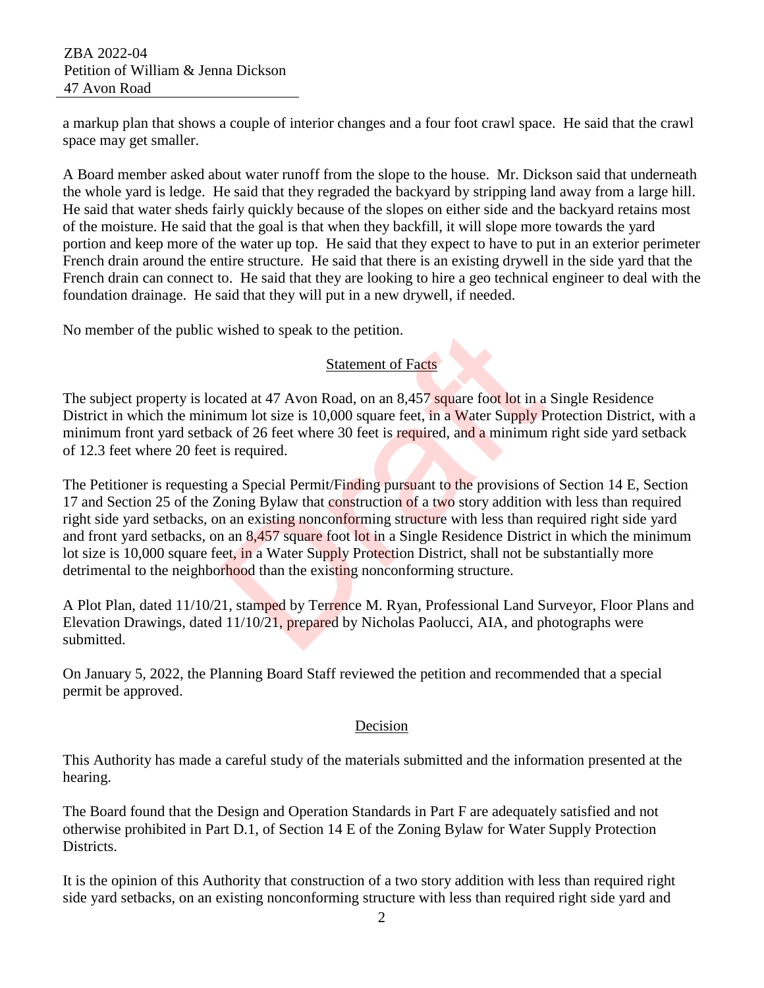a markup plan that shows a couple of interior changes and a four foot crawl space. He said that the crawl space may get smaller.

A Board member asked about water runoff from the slope to the house. Mr. Dickson said that underneath the whole yard is ledge. He said that they regraded the backyard by stripping land away from a large hill. He said that water sheds fairly quickly because of the slopes on either side and the backyard retains most of the moisture. He said that the goal is that when they backfill, it will slope more towards the yard portion and keep more of the water up top. He said that they expect to have to put in an exterior perimeter French drain around the entire structure. He said that there is an existing drywell in the side yard that the French drain can connect to. He said that they are looking to hire a geo technical engineer to deal with the foundation drainage. He said that they will put in a new drywell, if needed.

No member of the public wished to speak to the petition.

# Statement of Facts

The subject property is located at 47 Avon Road, on an 8,457 square foot lot in a Single Residence District in which the minimum lot size is 10,000 square feet, in a Water Supply Protection District, with a minimum front yard setback of 26 feet where 30 feet is required, and a minimum right side yard setback of 12.3 feet where 20 feet is required.

The Petitioner is requesting a Special Permit/Finding pursuant to the provisions of Section 14 E, Section 17 and Section 25 of the Zoning Bylaw that construction of a two story addition with less than required right side yard setbacks, on an existing nonconforming structure with less than required right side yard and front yard setbacks, on an 8,457 square foot lot in a Single Residence District in which the minimum lot size is 10,000 square feet, in a Water Supply Protection District, shall not be substantially more detrimental to the neighborhood than the existing nonconforming structure. wished to speak to the petition.<br>
Statement of Facts<br>
cated at 47 Avon Road, on an 8,457 square foot lot in a<br>
num lot size is 10,000 square feet, in a Water Supply P<br>
ck of 26 feet where 30 feet is required, and a minimum

A Plot Plan, dated 11/10/21, stamped by Terrence M. Ryan, Professional Land Surveyor, Floor Plans and Elevation Drawings, dated 11/10/21, prepared by Nicholas Paolucci, AIA, and photographs were submitted.

On January 5, 2022, the Planning Board Staff reviewed the petition and recommended that a special permit be approved.

## Decision

This Authority has made a careful study of the materials submitted and the information presented at the hearing.

The Board found that the Design and Operation Standards in Part F are adequately satisfied and not otherwise prohibited in Part D.1, of Section 14 E of the Zoning Bylaw for Water Supply Protection Districts.

It is the opinion of this Authority that construction of a two story addition with less than required right side yard setbacks, on an existing nonconforming structure with less than required right side yard and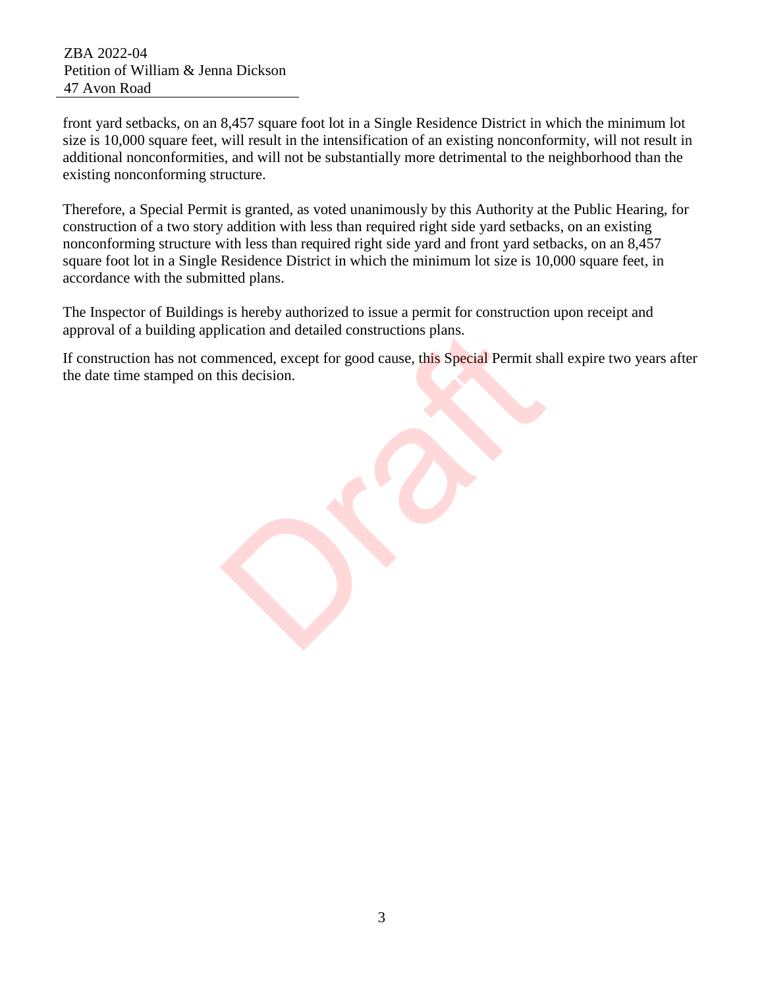front yard setbacks, on an 8,457 square foot lot in a Single Residence District in which the minimum lot size is 10,000 square feet, will result in the intensification of an existing nonconformity, will not result in additional nonconformities, and will not be substantially more detrimental to the neighborhood than the existing nonconforming structure.

Therefore, a Special Permit is granted, as voted unanimously by this Authority at the Public Hearing, for construction of a two story addition with less than required right side yard setbacks, on an existing nonconforming structure with less than required right side yard and front yard setbacks, on an 8,457 square foot lot in a Single Residence District in which the minimum lot size is 10,000 square feet, in accordance with the submitted plans.

The Inspector of Buildings is hereby authorized to issue a permit for construction upon receipt and approval of a building application and detailed constructions plans.

If construction has not commenced, except for good cause, this Special Permit shall expire two years after the date time stamped on this decision. Incident and detailed constructions plans.<br>
Inmenced, except for good cause, this Special Permit sh<br>
his decision.